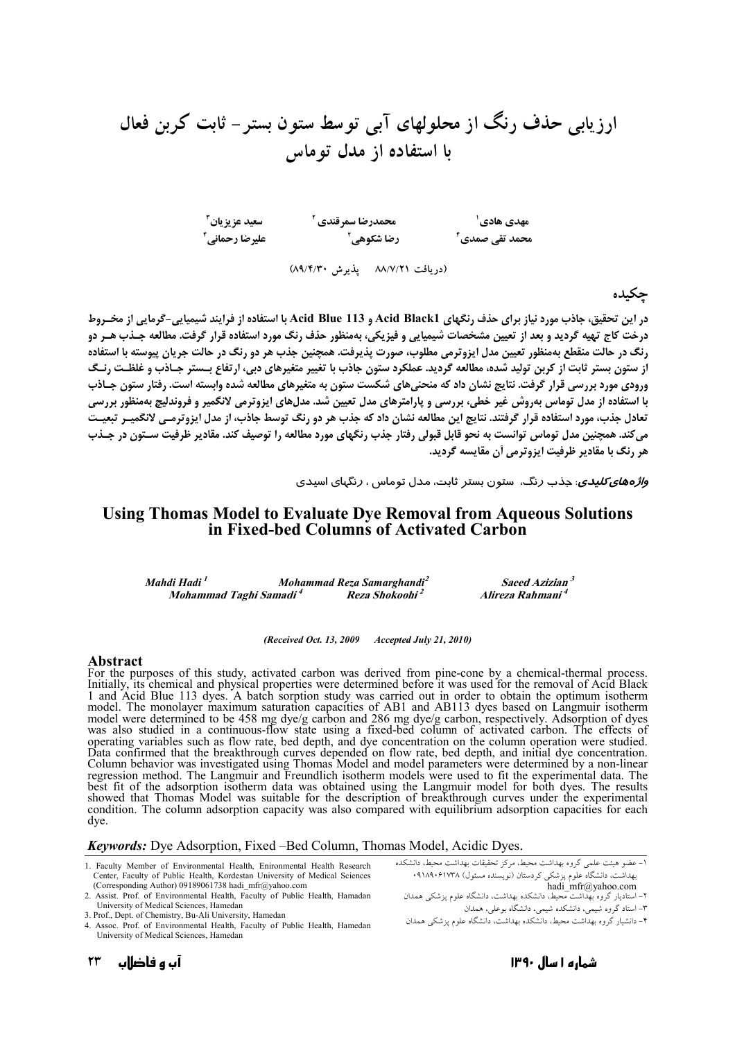سعيد عزيزيان<sup>۳</sup> مهدی هادی' محمدرضا سمرقندی <sup>۲</sup><br>محمد تقی صمدی <sup>۴</sup> رضا شکوهی <sup>۲</sup> عليرضا رحماني أ (دریافت ۸۸/۷/۲۱ پذیرش ۸۹/۴/۳۰)

حكىدە

در این تحقیق، چاذب مورد نیاز برای چذف رنگهای Acid Black1 و Acid Blue 113 با استفاده از فرایند شیمیایی-گرمایی از مخبروط د, خت کاج تهيه گرديد و بعد از تعيين مشخصات شيميايي و فيزيکي، پهمنظور حذف رنگ مورد استفاده قرار گرفت. مطالعه حيذب هير دو رنگ در حالت منقطع بهمنظور تعیین مدل ایزوترمی مطلوب، صورت پذیرفت. همچنین جذب هر دو رنگ در حالت جریان پیوسته با استفاده از ستون بستر ثابت از کربن تولید شده، مطالعه گردید. عملکرد ستون جاذب با تغییر متغیرهای دبی، ارتفاع بـستر جـاذب و غلظـت رنـگ ورودی مورد بررسی قرار گرفت. نتایج نشان داد که منحنیهای شکست ستون به متغیرهای مطالعه شده وابسته است. رفتار ستون جـاذب با استفاده از مدل توماس بهروش غیر خطی، بررسی و پارامترهای مدل تعیین شد. مدلهای ایزوترمی لانگمیر و فروندلیچ بهمنظور بررسی تعادل جذب، مورد استفاده قرار گرفتند. نتایج این مطالعه نشان داد که جذب هر دو رنگ توسط جاذب، از مدل ایزوترمـی لانگمیـر تبعیـت میکند. همچنین مدل توماس توانست به نحو قابل قبولی رفتار جذب رنگهای مورد مطالعه را توصیف کند. مقادیر ظرفیت سـتون در جـذب هر رنگ با مقادیر ظرفیت ایزوترمی آن مقایسه گردید.

و*اژ وهای کلیدی*، حذب دنگ، ستون بستر ثابت، مدل توماس ، دنگیای اسیدی

### Using Thomas Model to Evaluate Dye Removal from Aqueous Solutions in Fixed-bed Columns of Activated Carbon

| Mahdi Hadi <sup>1</sup>            | Mohammad Reza Samarghandi <sup>2</sup> | Saeed Azizian <sup>3</sup>   |
|------------------------------------|----------------------------------------|------------------------------|
| Mohammad Taghi Samadi <sup>4</sup> | Reza Shokoohi <sup>2</sup>             | Alireza Rahmani <sup>4</sup> |

(Received Oct. 13, 2009 Accepted July 21, 2010)

#### Abstract

For the purposes of this study, activated carbon was derived from pine-cone by a chemical-thermal process. Initially, its chemical and physical properties were determined before it was used for the removal of Acid Black 1 and Acid Blue 113 dyes. A batch sorption study was carried out in order to obtain the optimum isotherm model. The monolayer maximum saturation capacities of AB1 and AB113 dyes based on Langmuir isotherm<br>model were determined to be 458 mg dye/g carbon and 286 mg dye/g carbon, respectively. Adsorption of dyes<br>was also studied was also studied in a communious-now state using a fixed-bed communion accident and on. The criccis of operating variables such as flow rate, bed depth, and dye concentration on the column operation were studied. Data conf best fit of the adsorption isotherm data was obtained using the Langmuir model for both dyes. The results showed that Thomas Model was suitable for the description of breakthrough curves under the experimental condition. The column adsorption capacity was also compared with equilibrium adsorption capacities for each dve.

**Keywords:** Dye Adsorption, Fixed –Bed Column, Thomas Model, Acidic Dyes.

- 1. Faculty Member of Environmental Health, Enironmental Health Research Center, Faculty of Public Health, Kordestan University of Medical Sciences (Corresponding Author) 09189061738 hadi mfr@yahoo.com
- 2. Assist. Prof. of Environmental Health, Faculty of Public Health, Hamadan University of Medical Sciences, Hamedan
- 
- 3. Prof., Dept. of Chemistry, Bu-Ali University, Hamedan<br>4. Assoc. Prof. of Environmental Health, Faculty of Public Health, Hamedan University of Medical Sciences, Hamedan

۔<br>١- عضو هیئت علمی گروه بھداشت محیط، مرکز تحقیقات بھداشت محیط، دانشکده مسلو سیسی علمی عروب بهماست علمیت حروب علیحت بهماست علمیته، منطقه<br>بهداشت، دانشگاه علوم پزشکی کردستان (نویسنده مسئول) ۱۹۱۸٬۰۶۱۷۳۸<br>hadi\_mfr@yahoo.com<br>۲– استادیار گروه بهداشت محیط، دانشکده بهداشت، دانشگاه علوم پزشکی همدان

۳– استاد گروه شیمی، دانشکده شیمی، دانشگاه بوعلی، همدان

۲- دانشیار گروه بهداشت محیط، دانشکده بهداشت، دانشگاه علوم پزشکی همدان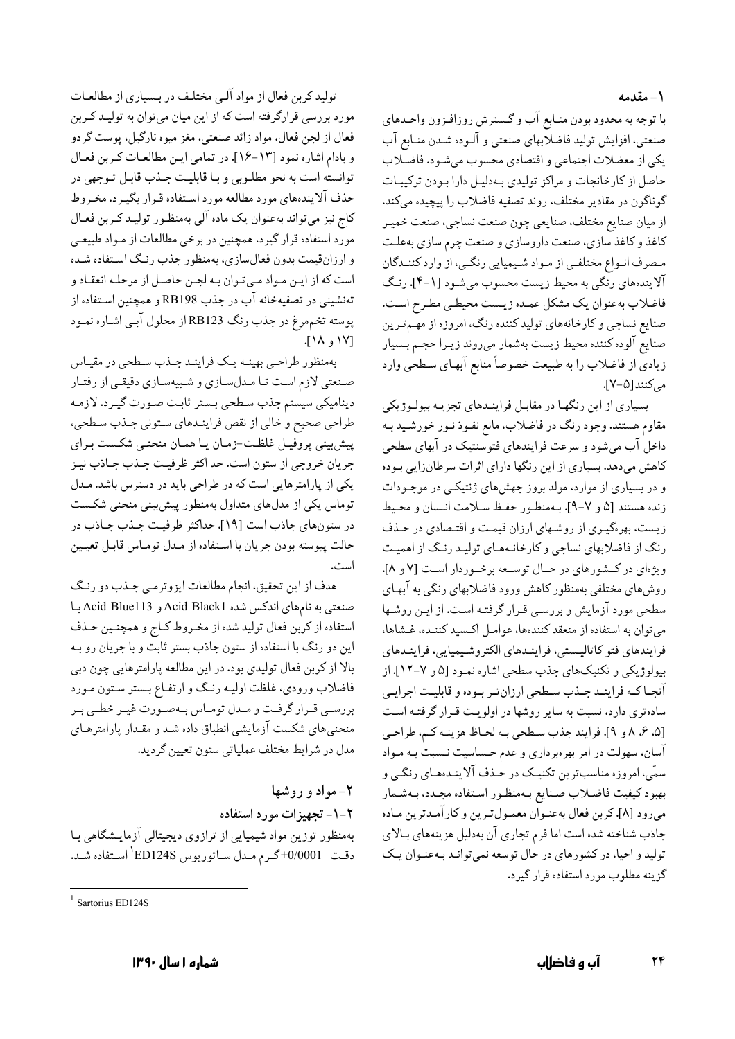۱ – مقدمه

با توجه به محدود بودن منـابع آب و گـسترش روزافـزون واحـدهاي صنعتی، افزایش تولید فاضلاّبهای صنعتی و آلـوده شـدن منـابع آب یکی از معضلات اجتماعی و اقتصادی محسوب میشـود. فاضـلاب حاصل از کارخانجات و مراکز تولیدی بهدلیل دارا بودن ترکیبات گوناگون در مقادير مختلف، روند تصفيه فاضلاب را پيچيده ميكند. از ميان صنايع مختلف، صنايعي چون صنعت نساجي، صنعت خميـر کاغذ و کاغذ سازی، صنعت داروسازی و صنعت چرم سازی بهعلت مصرف انـواع مختلفـي از مـواد شـيميايي رنگـي، از وارد كننـدگان آلایندههای رنگی به محیط زیست محسوب میشـود [۱-۴]. رنگ فاضلاب بهعنوان يك مشكل عمـده زيـست محيطـي مطـرح اسـت. صنایع نساجی و کارخانههای تولید کننده رنگ، امروزه از مهم تـرین صنايع آلوده كننده محيط زيست بهشمار مىروند زيـرا حجـم بـسيار زیادی از فاضلاب را به طبیعت خصوصاً منابع آبهـای سـطحی وارد می کنند[۵-۷].

بسیاری از این رنگها در مقابل فراینـدهای تجزیـه بیولـوژیکی مقاوم هستند. وجود رنگ در فاضلاب، مانع نفـوذ نـور خورشـيد بـه داخل آب میشود و سرعت فرایندهای فتوسنتیک در آبهای سطحی کاهش میدهد. بسیاری از این رنگها دارای اثرات سرطانزایی بـوده و در بسیاری از موارد، مولد بروز جهشهای ژنتیکمی در موجـودات زنده هستند [۵ و ۷-۹]. بـهمنظـور حفـظ سـلامت انـسان و محـيط زیست، بهرهگیـری از روشـهای ارزان قیمـت و اقتـصادی در حـذف رنگ از فاضلابهای نساجی و کارخانـههـای تولیـد رنـگ از اهمیـت ویژهای در کشورهای در حـال توسـعه برخـوردار اسـت [۷ و ۸]. روش،های مختلفی بهمنظور کاهش ورود فاضلابهای رنگی به آبهای سطحی مورد آزمایش و بررسی قـرار گرفتـه اسـت. از ايـن روشـها میتوان به استفاده از منعقد کنندهها، عوامل اکسید کننـده، غـشاها، فرايندهاي فتو كاتاليستي، فراينىدهاي الكتروشيميايي، فراينىدهاي بیولوژیکی و تکنیکهای جذب سطحی اشاره نمـود [۵ و ۷-۱۲]. از آنجـاكـه فراينـد جـذب سـطحي ارزانتـر بـوده و قابليـت اجرايـي سادهتری دارد، نسبت به سایر روشها در اولویت قـرار گرفتـه اسـت [۵، ۶، ۸ و ۹]. فرايند جذب سطحي بـه لحـاظ هزينـه كـم، طراحـي آسان، سهولت در امر بهرهبرداری و عدم حساسیت نـسبت بـه مـواد .<br>سمّی، امروزه مناسب ترین تکنیـک در حٰـذف آلاینـدهـای رنگـی و بهبود كيفيت فاضلاب صنايع بـهمنظـور اسـتفاده مجـدد، بـهشـمار مىرود [٨]. كربن فعال بهعنـوان معمـولتـرين و كارآمـدترين مـاده جاذب شناخته شده است اما فرم تجاري آن بهدليل هزينههاي بالاي تولید و احیا، در کشورهای در حال توسعه نمیتوانـد بـهعنـوان یـک گزينه مطلوب مورد استفاده قرار گيرد.

تولید کربن فعال از مواد آلبی مختلف در بـسیاری از مطالعـات مورد بررسی قرارگرفته است که از این میان میتوان به تولیـد کـربن فعال از لجن فعال. مواد زائد صنعتبي. مغز ميوه نارگيل. پوست گردو و بادام اشاره نمود [١٣-١۶]. در تمامي اين مطالعات كربن فعـال توانسته است به نحو مطلـوبي و بـا قابليـت جـذب قابـل تـوجهي در حذف آلایندههای مورد مطالعه مورد استفاده قـرار بگیـرد. مخـروط کاج نیز میتواند بهعنوان یک ماده آلی بهمنظور تولیـد کـربن فعـال مورد استفاده قرار گیرد. همچنین در برخی مطالعات از مـواد طبیعـی و ارزانقیمت بدون فعالسازی، بهمنظور جذب رنگ استفاده شـده است كه از ايـن مـواد مـىتـوان بـه لجـن حاصـل از مرحلـه انعقـاد و تهنشینی در تصفیهخانه آب در جذب RB198 و همچنین اسـتفاده از پوسته تخم مرغ در جذب رنگ RB123 از محلول آبـي اشـاره نمـود ١٧١ و ١٨].

بهمنظور طراحيي بهينـه يـك فراينـد جـذب سـطحى در مقيـاس صنعتی لازم است تـا مـدلسـازي و شـبيهسـازي دقيقـي از رفتـار دینامیکی سیستم جذب سطحی بستر ثابت صورت گیرد. لازمه طراحي صحيح و خالي از نقص فراينـدهاي سـتوني جـذب سـطحي، پیشبینی پروفیـل غلظـت-زمـان یـا همـان منحنـی شکـست بـرای جریان خروجی از ستون است. حد اکثر ظرفیت جـذب جـاذب نیـز یکی از پارامترهایی است که در طراحی باید در دسترس باشد. مـدل توماس یکی از مدلهای متداول بهمنظور پیشبینی منحنی شکست در ستونهاي جاذب است [١٩]. حداكثر ظرفيت جـذب جـاذب در حالت پيوسته بودن جريان با استفاده از مـدل تومـاس قابـل تعيـين است.

هدف از این تحقیق، انجام مطالعات ایزوترمـی جـذب دو رنـگ صنعتبی به نامهای اندکس شده Acid Black1 و Acid Blue113 بـا استفاده از كربن فعال توليد شده از مخـروط كـاج و همچنـين حـذف این دو رنگ با استفاده از ستون جاذب بستر ثابت و با جریان رو بـه بالا از کربن فعال تولیدی بود. در این مطالعه پارامترهایی چون دبی فاضلاب ورودي، غلظت اوليـه رنـگ و ارتفـاع بـستر سـتون مـورد بررسـي قـرار گرفـت و مـدل تومـاس بـهصـورت غيـر خطـي بـر منحنی های شکست آزمایشی انطباق داده شد و مقـدار پارامترهـای مدل در شرايط مختلف عملياتي ستون تعيين گرديد.

۲- مواد و روشها ۲-۱- تجهیز ات مورد استفاده بهمنظور توزین مواد شیمیایی از ترازوی دیجیتالی آزمایـشگاهی بـا دقت 0/0001±گرم مدل ساتوريوس ED124S استفاده شد.

 $\frac{1}{1}$  Sartorius ED124S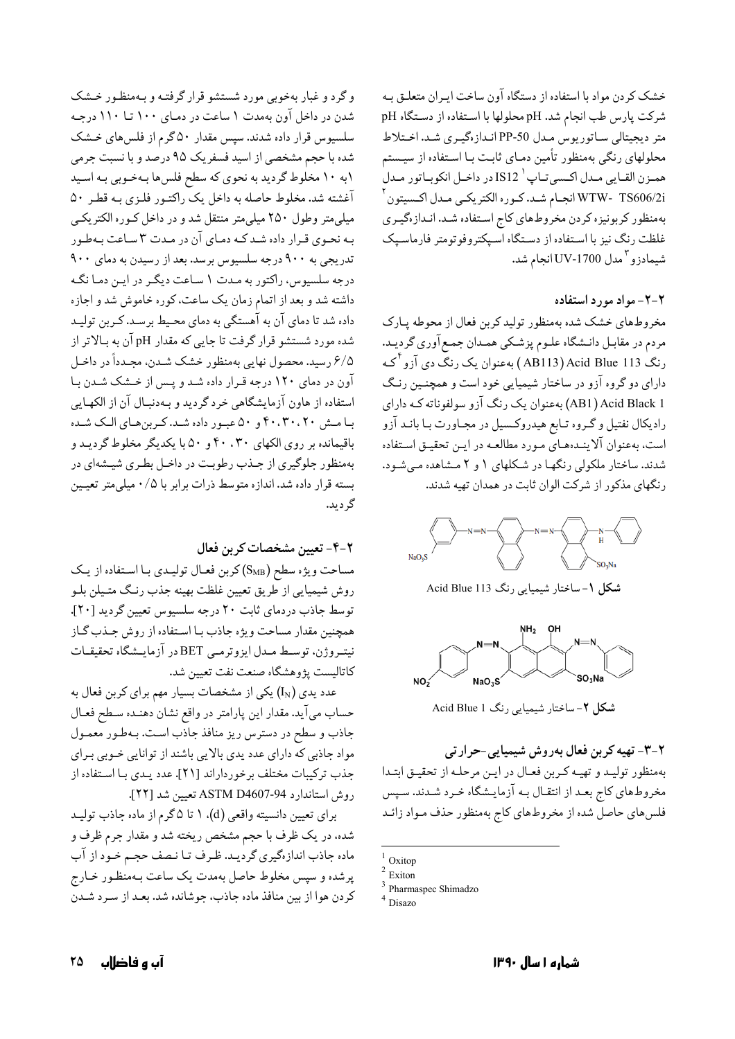خشک کردن مواد با استفاده از دستگاه آون ساخت ایـران متعلــق بــه شركت پارس طب انجام شد. pH محلولها با استفاده از دستگاه pH متر دیجیتالی ساتوریوس مدل PP-50 اندازهگیری شد. اختلاط محلولهای رنگی بهمنظور تأمین دمـای ثابـت بـا اسـتفاده از سیـستم همـزن القـايي مـدل اكـسيتـاپ ' IS12 در داخـل انكوبـاتور مـدل WTW- TS606/2i انجــام شــد. كــوره الكتريكــي مــدل اكــسيتون ` بهمنظور كربونيزه كردن مخروطهاي كاج استفاده شد. انـدازهگيـري غلظت رنگ نیز با استفاده از دستگاه اسپکتروفوتومتر فارماسپک شیمادزو <sup>۳</sup> مدل 1700-UV انجام شد.

### ۲-۲- مواد مورد استفاده

مخروطهای خشک شده بهمنظور تولید کربن فعال از محوطه پـارک مردم در مقابـل دانـشگاه علـوم پزشـكي همـدان جمـع آوري گرديـد. رنگ Acid Blue 113 (AB113) بهعنوان یک رنگ دی آزو <sup>آ</sup>کـه دارای دو گروه آزو در ساختار شیمیایی خود است و همچنـین رنـگ AB1) Acid Black 1) بهعنوان یک رنگ آزو سولفوناته کـه دارای رادیکال نفتیل و گـروه تـابع هیدروکـسیل در مجـاورت بـا بانـد آزو است، بهعنوان آلاینـدهعـای مـورد مطالعـه در ایـن تحقیـق اسـتفاده شدند. ساختار ملکولی رنگها در شکلهای ۱ و ۲ مشاهده میشود. رنگهای مذکور از شرکت الوان ثابت در همدان تهیه شدند.



شکل ۱- ساختار شیمیایی رنگ Acid Blue 113



شكل ٢- ساختار شيميايي رنگ Acid Blue 1

۲-۳- تهیه کربن فعال بهروش شیمیایی-حرارتی بهمنظور توليـد و تهيـه كـربن فعـال در ايـن مرحلـه از تحقيـق ابتـدا مخروطهای کاج بعـد از انتقـال بـه آزمایـشگاه خـرد شـدند. سـپس فلس های حاصل شده از مخروطهای کاج بهمنظور حذف مـواد زائـد

- <sup>3</sup> Pharmaspec Shimadzo
- Disazo

شدن در داخل آون بهمدت ۱ ساعت در دمـای ۱۰۰ تـا ۱۱۰ درجـه سلسیوس قرار داده شدند. سپس مقدار ۵۰ گرم از فلس های خشک شده با حجم مشخصی از اسید فسفریک ۹۵ درصد و با نسبت جرمی ۱۰ ۱۰ مخلوط گردید به نحوی که سطح فلسها بهخـوبی بـه اسـید آغشته شد. مخلوط حاصله به داخل یک راکتـور فلـزي بـه قطـر ۵۰ میلی متر وطول ۲۵۰ میلی متر منتقل شد و در داخل کـوره الکتریکـی به نحـوي قـرار داده شـد كـه دمـاي آن در مـدت ٣ سـاعت بـهطـور تدریجی به ۹۰۰ درجه سلسیوس برسد. بعد از رسیدن به دمای ۹۰۰ درجه سلسیوس، راکتور به مدت ۱ ساعت دیگر در ایـن دمـا نگـه داشته شد و بعد از اتمام زمان یک ساعت، کوره خاموش شد و اجازه داده شد تا دمای آن به آهستگی به دمای محیط برسـد. کـربن تولیـد شده مورد شستشو قرار گرفت تا جایی که مقدار pH آن به بالاتر از ۶/۵ رسید. محصول نهایی بهمنظور خشک شدن، مجـدداً در داخـل آون در دمای ١٢٠ درجه قرار داده شد و پس از خشک شدن با استفاده از هاون آزمایشگاهی خرد گردید و بـهدنبـال آن از الکهـایی با مش ۴۰،۳۰،۲۰ و ۵۰ عبور داده شد. كربن هاي الك شده باقیمانده بر روی الکهای ۴۰، ۴۰ و ۵۰ با یکدیگر مخلوط گردید و بهمنظور جلوگیری از جـذب رطوبـت در داخـل بطـری شیـشهای در بسته قرار داده شد. اندازه متوسط ذرات برابر با ۰/۵ میلی متر تعیمین گر ديد.

وگرد و غبار بهخوبی مورد شستشو قرار گرفتـه و بـهمنظـور خــشک

۲–۴– تعیین مشخصات کربن فعال

مساحت ویژه سطح (S<sub>MB</sub>) کربن فعـال تولیـدی بـا اسـتفاده از یـک روش شيميايي از طريق تعيين غلظت بهينه جذب رنـگ متـيلن بلـو توسط جاذب دردماي ثابت ٢٠ درجه سلسيوس تعيين گرديد [٢٠]. همچنین مقدار مساحت ویژه جاذب بـا اسـتفاده از روش جـذب گـاز نيتـروژن. توسـط مـدل ايزوترمـي BET در آزمايـشگاه تحقيقـات كاتاليست يژوهشگاه صنعت نفت تعيين شد.

عدد یدی  $\left(\mathrm{I_{N}}\right)$ یکی از مشخصات بسیار مهم برای کربن فعال به حساب مي آيد. مقدار اين پارامتر در واقع نشان دهنـده سـطح فعـال جاذب و سطح در دسترس ریز منافذ جاذب است. بـهطـور معمـول مواد جاذبی که دارای عدد یدی بالایی باشند از توانایی خـوبی بـرای جذب تركيبات مختلف برخورداراند [٢١]. عدد يـدي بـا اسـتفاده از روش استاندارد ASTM D4607-94 تعيين شد [٢٢].

برای تعیین دانسیته واقعی (d). ۱ تا ۵گرم از ماده جاذب تولیـد شده، در یک ظرف با حجم مشخص ریخته شد و مقدار جرم ظرف و ماده جاذب اندازهگیری گردیـد. ظـرف تـا نـصف حجـم خـود از آب پرشده و سپس مخلوط حاصل بهمدت یک ساعت بـهمنظـور خـارج كردن هوا از بين منافذ ماده جاذب، جوشانده شد. بعـد از سـرد شـدن

 $1$  Oxitop

 $2$  Exiton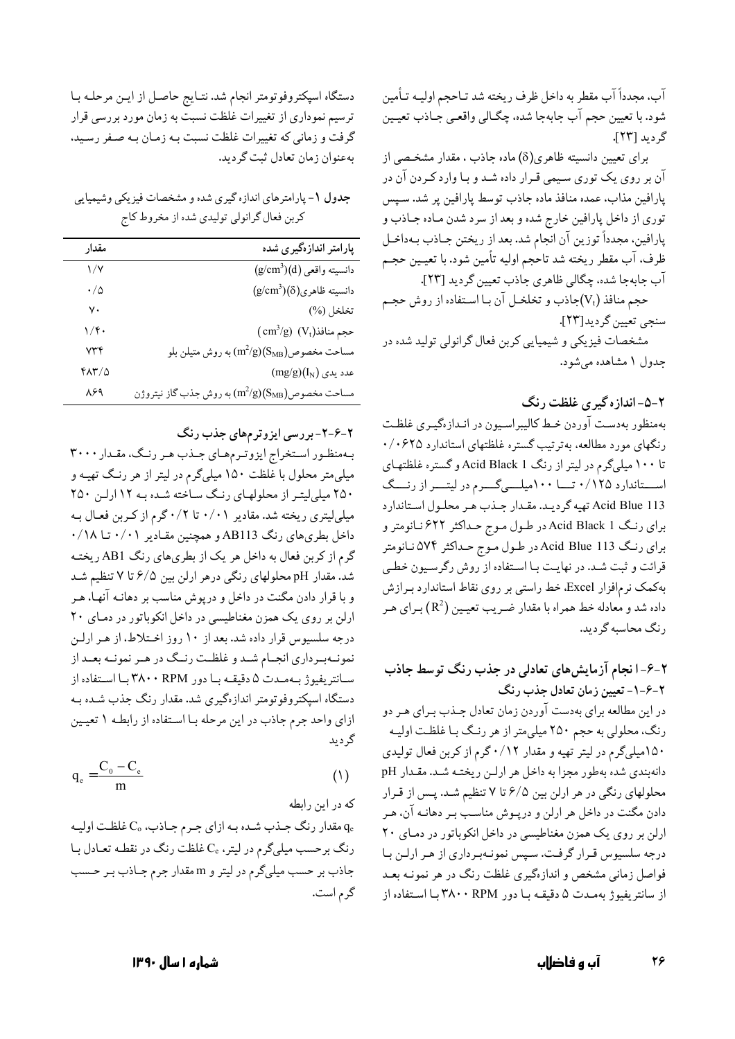آب، مجدداً آب مقطر به داخل ظرف ريخته شد تـاحجم اوليــه تـأمين شود. با تعيين حجم آب جابهجا شده، چگـالي واقعـي جـاذب تعيـين گرديد [۲۳].

برای تعیین دانسیته ظاهری(8) ماده جاذب ، مقدار مشخصی از آن بر روی یک توری سیمی قـرار داده شـد و بـا وارد کـردن آن در پارافین مذاب، عمده منافذ ماده جاذب توسط پارافین پر شد. سـپس توري از داخل پارافين خارج شده و بعد از سرد شدن مـاده جـاذب و پارافین، مجدداً توزین آن انجام شد. بعد از ریختن جـاذب بـهداخـل ظرف، آب مقطر ريخته شد تاحجم اوليه تأمين شود. با تعيـين حجـم آب جابهجا شده، چگالي ظاهري جاذب تعيين گرديد [٢٣].

حجم منافذ (V<sub>t</sub>)جاذب و تخلخـل آن بـا اسـتفاده از روش حجـم سنجي تعيين گرديد[٢٣].

مشخصات فیزیکی و شیمیایی کربن فعال گرانولی تولید شده در جدول ۱ مشاهده میشود.

۲-۵-اندازه گیری غلظت رنگ

بهمنظور بهدست آوردن خبط كاليبراسيون در انـدازهگيـرى غلظـت رنگهای مورد مطالعه، بهترتیب گستره غلظتهای استاندارد ۰/۰۶۲۵ تا ۱۰۰ میلیگرم در لیتر از رنگ Acid Black 1 و گستره غلظتهای استاندارد ۰/۱۲۵ تــا ۱۰۰میلــیگــرم در لیتــر از رنـــگ Acid Blue 113 تهيه گرديد. مقدار جذب هر محلول استاندارد برای رنگ Acid Black 1 در طـول مـوج حـداکثر ۶۲۲ نـانومتر و برای رنگ Acid Blue 113 در طول موج حـداکثر ۵۷۴ نـانومتر قرائت و ثبت شـد. در نهایـت بـا اسـتفاده از روش رگرسـیون خطـی بهکمک نرمافزار Excel، خط راستی بر روی نقاط استاندارد بـرازش داده شد و معادله خط همراه با مقدار ضـريب تعيـين (R<sup>2</sup>) بـراي هـر رنگ محاسبه گردید.

۲-۶-انجام آزمایشهای تعادلی در جذب رنگ توسط جاذب ۲-۶-۱- تعیین زمان تعادل جذب رنگ در این مطالعه برای بهدست آوردن زمان تعادل جـذب بـرای هـر دو رنگ، محلولی به حجم ۲۵۰ میلیمتر از هر رنـگ بـا غلظـت اوليـه ۱۵۰میلیگرم در لیتر تهیه و مقدار ۰/۱۲گرم از کربن فعال تولیدی دانهبندي شده بهطور مجزا به داخل هر ارلـن ريختـه شـد. مقـدار pH محلولهای رنگی در هر ارلن بین ۶/۵ تا ۷ تنظیم شـد. پـس از قـرار دادن مگنت در داخل هر ارلن و درپـوش مناسـب بـر دهانـه آن، هـر ارلن بر روی یک همزن مغناطیسی در داخل انکوباتور در دمای ۲۰ درجه سلسیوس قـرار گرفـت. سـپس نمونـهبـرداري از هـر ارلـن بـا فواصل زمانی مشخص و اندازهگیری غلظت رنگ در هر نمونـه بعـد از سانتریفیوژ بهمدت ۵ دقیقـه بـا دور ۳۸۰۰ RPM بـا اسـتفاده از

دستگاه اسپکتروفوتومتر انجام شد. نتـايج حاصـل از ايـن مرحلـه بـا ترسیم نموداری از تغییرات غلظت نسبت به زمان مورد بررسی قرار گرفت و زمانی که تغییرات غلظت نسبت بـه زمـان بـه صـفر رسـید. به عنوان زمان تعادل ثبت گرديد.

جدول ١- پارامترهاي اندازه گيري شده و مشخصات فيزيكي وشيميايي کربن فعال گرانولی تولیدی شده از مخروط کاج

| پارامتر انداز،گیری شده                                       | مقدار          |
|--------------------------------------------------------------|----------------|
| $(g/cm^3)(d)$ دانسيته واقعى                                  | ۱/۷            |
| $(g/cm^3)(\delta)$ دانسیته ظاهری                             | $\cdot/\Delta$ |
| تخلخل (%)                                                    | ٧٠             |
| $\text{(cm}^3\text{/g)} \text{ (Vt)}$ حجم منافذ              | ۱/۴۰           |
| وش متيلن بلو (m $^2$ /g)(S <sub>MB</sub> ) مساحت مخصوص       | ۷۳۴            |
| $(mg/g)(I_N)$ عدد یدی                                        | 41370          |
| وش جذب گاز نیتروژن (m $^2{\rm /g}(S_{\rm MB})$ ) مساحت مخصوص | ۸۶۹            |

۲-۶-۲- بررسی ایزوترمهای جذب رنگ

بهمنظور استخراج ایزوترمهای جـذب هـر رنـگ، مقـدار ٣٠٠٠ میلی متر محلول با غلظت ۱۵۰ میلیگرم در لیتر از هر رنـگ تهیـه و ۲۵۰ میلی لیتـر از محلولهـای رنـگ سـاخته شـده بـه ۱۲ ارلـن ۲۵۰ میلیلیتری ریخته شد. مقادیر ۰/۰۱ تا ۰/۲ گرم از کربن فعـال بـه داخل بطری های رنگ AB113 و همچنین مقـادیر ۰/۰۱ تــا ۰/۱۸ گرم از کربن فعال به داخل هر یک از بطریهای رنگ AB1 ریخته شد. مقدار pH محلولهای رنگی درهر ارلن بین ۶/۵ تا ۷ تنظیم شد و با قرار دادن مگنت در داخل و درپوش مناسب بر دهانـه آنهـا، هـر ارلن بر روی یک همزن مغناطیسی در داخل انکوباتور در دمای ۲۰ درجه سلسیوس قرار داده شد. بعد از ۱۰ روز اختلاط، از هـر ارلـن نمونـهبـرداري انجـام شـد و غلظـت رنـگ در هـر نمونـه بعـد از سانتريفيوژ بهمىدت ۵ دقيقـه بـا دور ۳۸۰۰ RPM بـا اسـتفاده از دستگاه اسپکتروفوتومتر اندازهگیری شد. مقدار رنگ جذب شـده بـه ازای واحد جرم جاذب در این مرحله بـا اسـتفاده از رابطـه ١ تعیـین گرديد

$$
q_e = \frac{C_0 - C_e}{m} \tag{1}
$$

که در این رابطه

مقدار رنگ جـذب شـده بـه ازاي جـرم جـاذب، ،C غلظـت اوليـه  $q_{\rm e}$ رنگ برحسب میلیگرم در لیتر، یC غلظت رنگ در نقطـه تعـادل بـا جاذب بر حسب میلیگرم در لیتر و m مقدار جرم جـاذب بـر حـسب گرم است.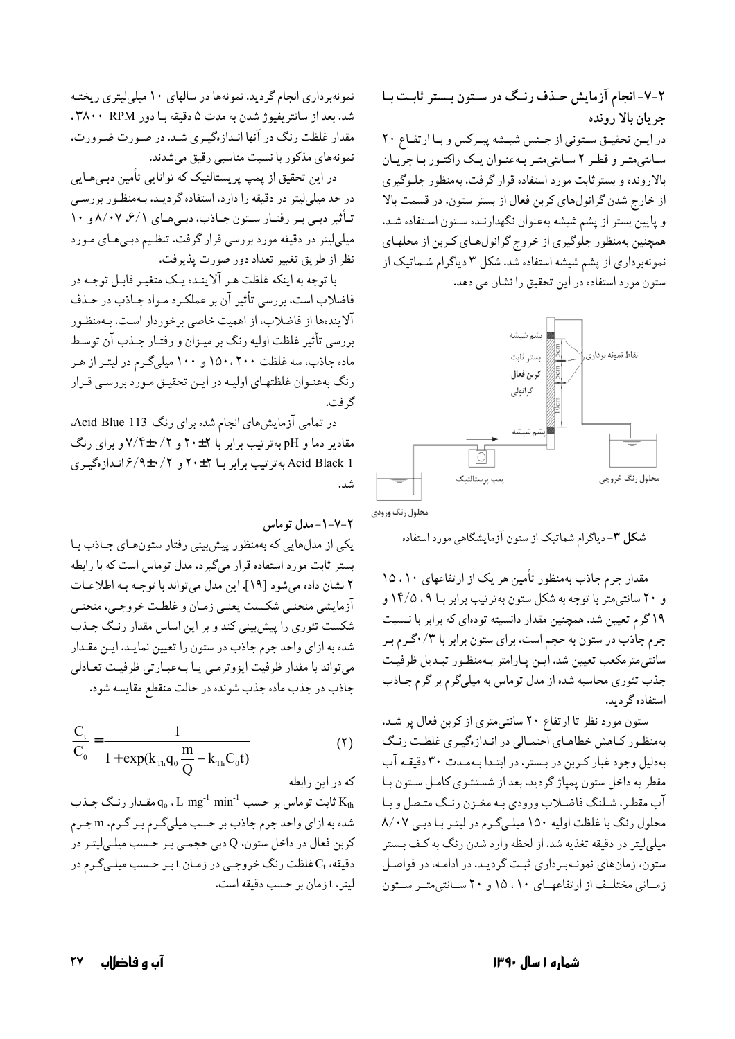۲-۷- انجام آزمایش حـذف رنـگ در سـتون بـستر ثابـت بـا جريان بالا رونده در ایـن تحقیـق سـتونی از جـنس شیـشه پیـرکس و بـا ارتفـاع ۲۰ سانتی متر و قطر ۲ سانتی متر به عنوان یک راکتور با جریان بالارونده و بسترثابت مورد استفاده قرار گرفت. بهمنظور جلـوگیری از خارج شدن گرانولهای کربن فعال از بستر ستون، در قسمت بالا و پایین بستر از پشم شیشه بهعنوان نگهدارنـده سـتون اسـتفاده شـد. همچنین بهمنظور جلوگیری از خروج گرانولهای کربن از محلهای نمونهبرداری از پشم شیشه استفاده شد. شکل ۳ دیاگرام شـماتیک از ستون مورد استفاده در این تحقیق را نشان می دهد.



محلول رنگ ورودي

شکل ۳- دیاگرام شماتیک از ستون آزمایشگاهی مورد استفاده

مقدار جرم جاذب بهمنظور تأمین هر یک از ارتفاعهای ۱۵،۱۰ و ۲۰ سانتی متر با توجه به شکل ستون بهترتیب برابر بـا ۰۹% و ۱۹ گرم تعیین شد. همچنین مقدار دانسیته تودهای که برابر با نـسبت جرم جاذب در ستون به حجم است، براي ستون برابر با ۰/۳/ گرم بـر سانتی مترمکعب تعیین شد. ایـن پـارامتر بـهمنظـور تبـدیل ظرفیـت جذب تئوري محاسبه شده از مدل توماس به ميلي گرم بر گرم جـاذب استفاده گر دید.

ستون مورد نظر تا ارتفاع ۲۰ سانتی متری از کربن فعال پر شد. بهمنظور کاهش خطاهای احتمالی در انـدازهگیـری غلظـت رنـگ به دلیل وجود غبار کربن در بستر، در ابتدا به مدت ۳۰ دقیقه آب مقطر به داخل ستون پمپاژ گردید. بعد از شستشوی کامل سـتون بـا آب مقطـر، شـلنگ فاضـلاب ورودي بـه مخـزن رنـگ متـصل و بـا محلول رنگ با غلظت اولیه ١۵٠ میلیگرم در لیتر با دبی ٨/٠٧ میلم لیتر در دقیقه تغذیه شد. از لحظه وارد شدن رنگ به کـف بـستر ستون، زمانهای نمونـهبـرداری ثبـت گرديـد. در ادامـه، در فواصـل زمیانی مختلیف از ارتفاعهیای ۱۰، ۱۵ و ۲۰ سیانتی متیر سیتون

نمونهبرداري انجام گرديد. نمونهها در سالهاي ١٠ ميليليتري ريختـه شد. بعد از سانتريفيوژ شدن به مدت ۵ دقيقه با دور ۳۸۰۰ RPM . مقدار غلظت رنگ در آنها انـدازهگیـری شـد. در صـورت ضـرورت، نمونههای مذکور با نسبت مناسبی رقیق میشدند.

در این تحقیق از پمپ پریستالتیک که توانایی تأمین دبـیهـایی در حد میلیلیتر در دقیقه را دارد، استفاده گردیـد. بـهمنظـور بررسـی تـأثير دبـي بـر رفتـار سـتون جـاذب، دبـيهـاي ٨/٠٧. ٨/٠٧ و ١٠ میلیلیتر در دقیقه مورد بررسی قرار گرفت. تنظیم دبـیهـای مـورد نظر از طريق تغيير تعداد دور صورت پذيرفت.

با توجه به اینکه غلظت هر آلاینـده یـک متغیـر قابـل توجـه در فاضلاب است، بررسي تأثير آن بر عملكـرد مـواد جـاذب در حـذف آلایندهها از فاضلاب، از اهمیت خاصی برخوردار است. بـهمنظـور بررسی تأثیر غلظت اولیه رنگ بر میـزان و رفتـار جـذب آن توسـط ماده جاذب، سه غلظت ۱۵۰،۲۰۰ و ۱۰۰ میلیگرم در لیتـر از هـر رنگ بهعنـوان غلظتهـاي اوليـه در ايـن تحقيـق مـورد بررسـي قـرار گر فت.

در تمامی آزمایش های انجام شده برای رنگ Acid Blue 113. مقادیر دما و pH بهترتیب برابر با ۲±۲۰ و ۷/۴±۰/۲ و برای رنگ Acid Black 1 بهترتیب برابر بـا ۲+۲۰ و ۲/ ۰±۶/۹ انـدازهگیـری

۰-۷-۲-مدل توماس

یکی از مدلهایی که بهمنظور پیش بینی رفتار ستونهای جاذب با بستر ثابت مورد استفاده قرار میگیرد، مدل توماس است که با رابطه ٢ نشان داده مي شود [١٩]. اين مدل مي تواند با توجه بـه اطلاعـات آزمايشي منحنـي شكـست يعنـي زمـان و غلظـت خروجـي، منحنـي شکست تئوری را پیش بینی کند و بر این اساس مقدار رنگ جـذب شده به ازای واحد جرم جاذب در ستون را تعیین نمایـد. ایـن مقـدار می تواند با مقدار ظرفیت ایزوترمبی یـا بـهعبـارتبی ظرفیـت تعـادلبی جاذب در جذب ماده جذب شونده در حالت منقطع مقايسه شود.

$$
\frac{C_{t}}{C_{0}} = \frac{1}{1 + \exp(k_{\text{Th}}q_{0}\frac{m}{Q} - k_{\text{Th}}C_{0}t)}
$$
(1)

که در این رابطه

ثابت توماس بر حسب q، ، L  ${\rm m}$ g " min-' تابت توماس بر حسب q، ، L  ${\rm K}_{\rm th}$ شده به ازاي واحد جرم جاذب بر حسب ميليگرم بـر گـرم، m جـرم کربن فعال در داخل ستون، Q دبی حجمـی بـر حـسب میلـیلیتـر در دقیقه، ،C غلظت رنگ خروجیی در زمان t بر حسب میلمیگرم در ليتر، t زمان بر حسب دقيقه است.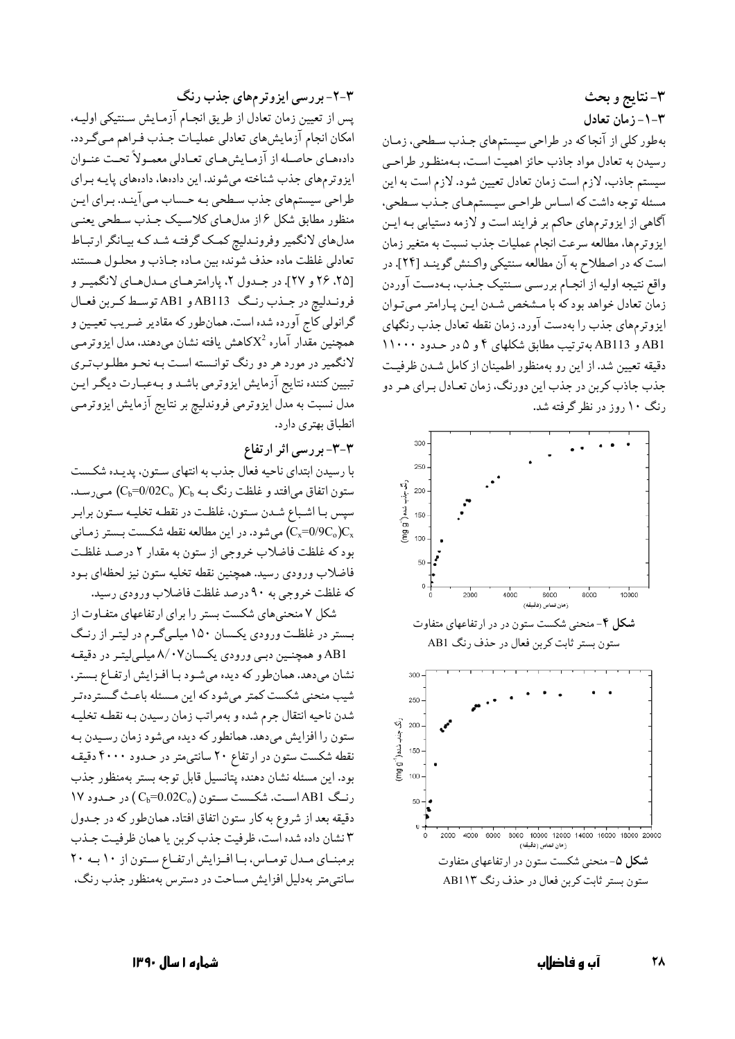۳- نتايج و بحث ٣-١- زمان تعادل بهطور کلی از آنجا که در طراحی سیستمهای جـذب سـطحی، زمـان رسیدن به تعادل مواد جاذب حائز اهمیت است، بـهمنظـور طراحـی سیستم جاذب، لازم است زمان تعادل تعیین شود. لازم است به این مسئله توجه داشت كه اسـاس طراحـي سيـستمهـاي جـذب سـطحي، آگاهی از ایزوترمهای حاکم بر فرایند است و لازمه دستیابی بـه ایـن ايزوترمها، مطالعه سرعت انجام عمليات جذب نسبت به متغير زمان است که در اصطلاح به آن مطالعه سنتیکی واکـنش گوینـد [۲۴]. در واقع نتيجه اوليه از انجـام بررسـي سـنتيک جـذب، بـهدسـت آوردن زمان تعادل خواهد بودكه با مشخص شدن ايـن يـارامتر مـىتـوان ایزوترمهای جذب را بهدست آورد. زمان نقطه تعادل جذب رنگهای AB11 و AB113 به ترتیب مطابق شکلهای ۴ و ۵ در حـدود ۱۱۰۰۰ دقیقه تعیین شد. از این رو بهمنظور اطمینان از کامل شدن ظرفیت جذب جاذب کربن در جذب این دورنگ، زمان تعـادل بـرای هـر دو رنگ ۱۰ روز در نظر گرفته شد.



### ۳-۲- بررسی ایزوترمهای جذب رنگ

پس از تعیین زمان تعادل از طریق انجـام آزمـایش سـنتیکی اولیـه. امکان انجام آزمایش های تعادلی عملیـات جـذب فـراهم مـیگـردد. دادههاي حاصـله از آزمـايش،مـاي تعـادلي معمـولاً تحـت عنـوان ایزوترمهای جذب شناخته میشوند. این دادهها، دادههای پایـه بـرای طراحی سیستمهای جذب سطحی بـه حـساب مـی آینـد. بـرای ایـن منظور مطابق شكل ۶ از مدلهـاي كلاسـيك جـذب سـطحي يعنـي مدلهاي لانگمير وفرونـدليچ كمـك گرفتـه شـد كـه بيـانگر ارتبـاط تعادلي غلظت ماده حذف شونده بين مـاده جـاذب و محلـول هـستند [۲۵، ۲۶ و ۲۷]. در جمدول ۲، پارامترهای مدل های لانگمیر و فرونـدليچ در جـذب رنـگ AB113 و AB1 توسـط كـربن فعـال گرانولی کاج آورده شده است. همانطور که مقادیر ضـریب تعیـین و همچنین مقدار آماره  $\mathrm{X}^2$ کاهش یافته نشان میدهند، مدل ایزوترمـی لانگمیر در مورد هر دو رنگ توانـسته اسـت بـه نحـو مطلـوبتـري تبیین کننده نتایج آزمایش ایزوترمی باشد و بهعبارت دیگر این مدل نسبت به مدل ایزوترمی فروندلیچ بر نتایج آزمایش ایزوترمـی انطباق بهتري دارد.

# ۳-۳- بررسی اثر ارتفاع

با رسيدن ابتداى ناحيه فعال جذب به انتهاى سـتون، يديـده شكـست ستون اتفاق می|فتد و غلظت رنگ بـه  $C_{\rm b}$ 02 (C<sub>b</sub>=0/02C) مـیرسـد. سپس بـا اشـباع شـدن سـتون، غلظـت در نقطـه تخليـه سـتون برابـر میشود. در این مطالعه نقطه شکست بستر زمانی (Cx=0/9C ) $\mathrm{C_{x}}$ بود که غلظت فاضلاب خروجی از ستون به مقدار ۲ درصد غلظت فاضلاب ورودي رسيد. همچنين نقطه تخليه ستون نيز لحظهاي بـود كه غلظت خروجي به ۹۰ درصد غلظت فاضلاب ورودي رسيد.

شکل ۷ منحنی های شکست بستر را برای ارتفاعهای متفـاوت از بستر در غلظت ورودي يكسان ١۵٠ ميلي گرم در ليتـر از رنـگ AB1 و همچنین دببی ورودی یکسان۰۷/۸ میلمیلیتر در دقیقه نشان میدهد. همانطور که دیده میشود با افزایش ارتفاع بستر، شیب منحنی شکست کمتر میشود که این مـسئله باعـث گـستردهتـر شدن ناحيه انتقال جرم شده و بهمراتب زمان رسيدن بـه نقطـه تخليـه ستون را افزایش میدهد. همانطور که دیده میشود زمان رسیدن بـه نقطه شکست ستون در ارتفاع ۲۰ سانتی متر در حـدود ۴۰۰۰ دقیقـه بود. اين مسئله نشان دهنده يتانسيل قابل توجه بستر بهمنظور جذب 181 (ست. شكست ستون (C<sub>b</sub>=0.02C<sub>o</sub>) در حدود ١٧ دقیقه بعد از شروع به کار ستون اتفاق افتاد. همانطور که در جـدول ٣ نشان داده شده است، ظرفيت جذب كربن يا همان ظرفيت جـذب برمبنای مدل توماس، با افزایش ارتفاع ستون از ١٠ به ٢٠ سانتي متر بهدليل افزايش مساحت در دسترس بهمنظور جذب رنگ،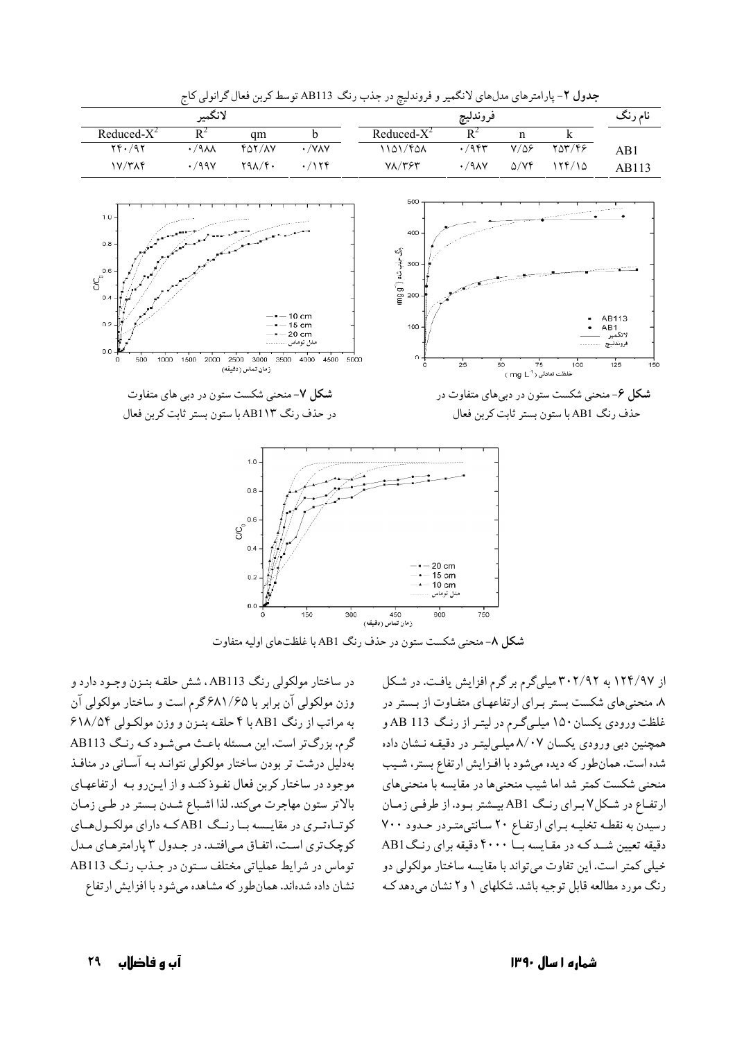

جدول ۲- پارامترهای مدلهای لانگمیر و فروندلیچ در جذب رنگ AB113 توسط کربن فعال گرانولی کاج

شکل ۸- منحنی شکست ستون در حذف رنگ AB1 با غلظتهای اولیه متفاوت

در ساختار مولکولی رنگ AB113 ، شش حلقـه بنـزن وجـود دارد و وزن مولکولی آن برابر با ۶۸۱/۶۵گرم است و ساختار مولکولی آن به مراتب از رنگ AB1 با ۴ حلقیه بنیزن و وزن مولکبولی ۶۱۸/۵۴ گرم، بزرگ تر است. این مسئله باعث مے شود کـه رنـگ AB113 بهدلیل درشت تر بودن ساختار مولکولی نتوانید بیه آسانی در منافیذ موجود در ساختار كربن فعال نفوذكنـد و از ايـن رو بـه ارتفاعهـاي بالاتر ستون مهاجرت مىكند. لذا اشباع شـدن بـستر در طـي زمـان کوتاهتری در مقایسه با رنگ AB1که دارای مولکولهای کوچکتری است، اتفاق می افتد. در جدول ۳ پارامترهای مدل توماس در شرايط عملياتي مختلف ستون در جـذب رنـگ AB113 نشان داده شدهاند. همانطور که مشاهده می شود با افزایش ارتفاع

از ۱۲۴/۹۷ به ۳۰۲/۹۲ میلی گرم بر گرم افزایش یافت. در شکل ۸، منحنی های شکست بستر برای ارتفاعهای متفـاوت از بـستر در غلظت ورودي يكسان ١٥٠ ميليگرم در ليتـر از رنـگ AB 113 و همچنین دبی ورودی یکسان ۸/۰۷ میله لیته در دقیقه نـشان داده شده است. همان طور که دیده می شود با افیزایش ار تفاع بستر ، شـیب منحنی شکست کمتر شد اما شیب منحنیها در مقایسه با منحنیهای ارتفاع در شکل ۷ برای رنگ AB1 بیشتر بود. از طرفی زمان رسیدن به نقطه تخلیـه بـرای ارتفاع ٢٠ سانتی متـردر حـدود ٧٠٠ دقیقه تعیین شـد کـه در مقـایسه بــا ۴۰۰۰ دقیقه برای رنـگ AB1 خیلی کمتر است. این تفاوت میتواند با مقایسه ساختار مولکولی دو رنگ مورد مطالعه قابل توحیه باشد. شکلهای ۱ و ۲ نشان می دهد ک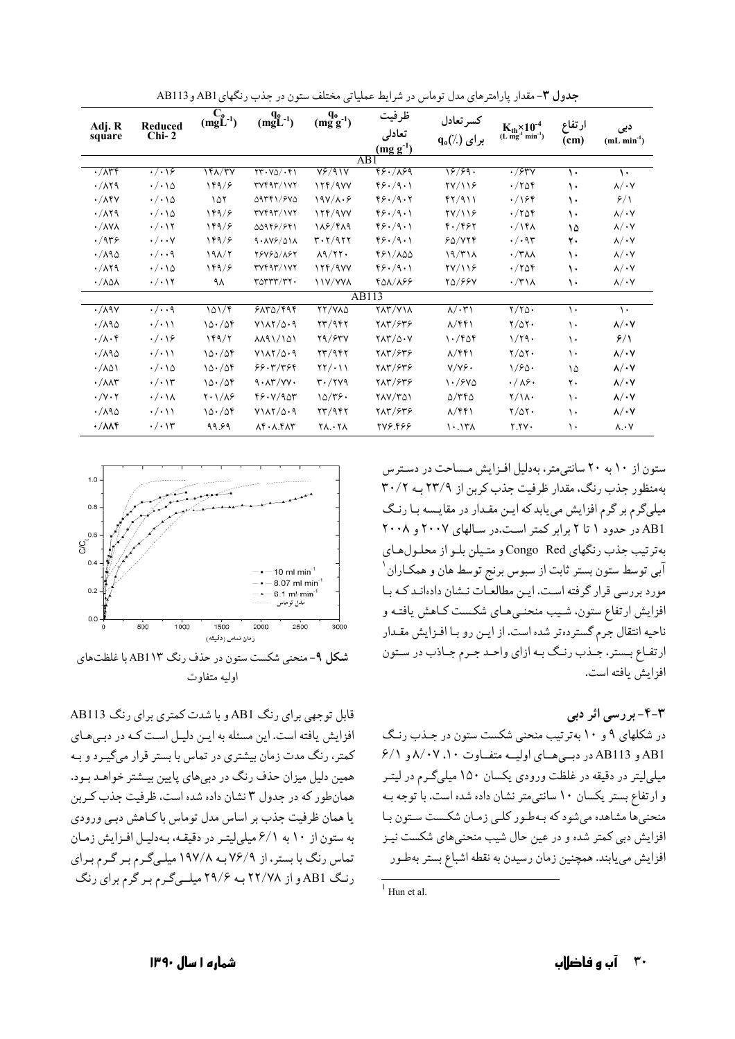| Adj. R<br>square                 | Reduced<br>$Chi-2$             | $C_0$ <sub>(mgL<sup>-1</sup>)</sub> | $\frac{q_0}{(mgL^{-1})}$               | $q_0$ <sub>0</sub> -1) | ظرفيت<br>تعادلى             | كسرتعادل<br>$q_0(\%)$ برای         | $K_{th} \times 10^{-4}$<br>(L mg <sup>-1</sup> min <sup>-1</sup> ) | ارتفاع | دبی<br>$(mL min-1)$     |
|----------------------------------|--------------------------------|-------------------------------------|----------------------------------------|------------------------|-----------------------------|------------------------------------|--------------------------------------------------------------------|--------|-------------------------|
|                                  |                                |                                     |                                        |                        |                             |                                    |                                                                    |        |                         |
|                                  |                                |                                     |                                        |                        | $\overline{AB1}$            |                                    |                                                                    |        |                         |
| $\cdot/\wedge r$ f               | $\cdot/\cdot\cdot$             | 161/TV                              | $\tau\tau\cdot y_0/\cdot f_1$          | $V^2/91V$              | 48.1899                     | 18/99.                             | $\overline{\cdot}$ /۶۳۷                                            | ١.     | ١.                      |
| $\cdot$ / $\wedge$ $\vee$ 9      | $\cdot/\cdot\setminus\Delta$   | 189/5                               | rrYf4T/1YY                             | 17f/9VV                | 99.79.1                     | YY/YY                              | $\cdot$ /۲۵۴                                                       | ١.     | $\lambda/\cdot$ Y       |
| $\cdot/\lambda$ ۴۷               | $\cdot/\cdot\setminus\Delta$   | ۱۵۲                                 | 09751/540                              | $19Y/\lambda.9$        | 49.79.7                     | f7/911                             | $\cdot$ /164                                                       | ١.     | 9/1                     |
| $\cdot$ / $\wedge$ $\vee$ 9      | $\cdot/\cdot\setminus\Delta$   | 189/5                               | rrYf4T/1YY                             | 17f/9VV                | 99.49.1                     | YY/YY                              | $\cdot$ /۲۵۴                                                       | ١.     | $\lambda/\cdot V$       |
| $\cdot$ / $\wedge$ Y $\wedge$    | $\cdot/\cdot$ ١٢               | 189/5                               | 00948/841                              | 118/419                | 99.79.1                     | 8.7897                             | $\cdot$ /14 $\lambda$                                              | ۱۵     | $\lambda/\cdot$ Y       |
| $\cdot$ /9۳۶                     | $\cdot/\cdot\cdot$ Y           | 169/8                               | $9.1Y$ / $01$                          | $r \cdot r / q r r$    | 99.79.1                     | 50/779                             | $\cdot/\cdot$ 95                                                   | ٢.     | $\lambda/\cdot$ Y       |
| $\cdot$ / $\wedge$ 9 $\circ$     | $\cdot/\cdot\cdot$ 9           | $19\lambda/T$                       | <b>TSVSD/ASY</b>                       | $\lambda$ 9/٢٢.        | 481/100                     | 19/T1 <sub>A</sub>                 | $\cdot$ /۳۸۸                                                       | ١.     | $\lambda/\cdot$ Y       |
| $\cdot$ / $\wedge$ $\uparrow$ 9  | $\cdot/\cdot\setminus\Delta$   | 189/5                               | rrYf4T/1YY                             | 15f/9VV                | 99.79.1                     | YY/119                             | $\cdot$ /۲۵۴                                                       | ١.     | $\lambda/\cdot \lambda$ |
| $\cdot / \lambda \Delta \lambda$ | $\cdot/\cdot$ \ ۲              | ۹۸                                  | $r_0$ $rr$ $r_7$ .                     | <b>\\Y/YYA</b>         | 408/166                     | 20/88V                             | $\cdot$ /۳۱۸                                                       | ١.     | $\lambda/\cdot \lambda$ |
|                                  |                                |                                     |                                        |                        | AB113                       |                                    |                                                                    |        |                         |
| $\cdot$ / $\wedge$ ۹۷            | $\cdot/\cdot\cdot$ ٩           | 101/9                               | 5170/999                               | <b>TY/VAD</b>          | $Y\Lambda Y/Y\Lambda$       | $\lambda/\cdot\tau$                | $\frac{1}{100}$                                                    | ١.     | $\mathcal{L}$           |
| $\cdot$ /190                     | $\cdot/\cdot$ \ \              | 10.709                              | $Y1AY/\Delta.9$                        | 73/947                 | 715/859                     | $\lambda$ /۴۴۱                     | $Y/\Delta Y$                                                       | ١.     | $\lambda/\cdot$ Y       |
| $\cdot/\lambda\cdot f$           | $\cdot/\cdot\backslash$ ۶      | 189/7                               | <b>AA91/101</b>                        | Y9/57V                 | $Y\Lambda Y/\Delta \cdot Y$ | $\cdot$ /۴۵۴                       | 1/79.                                                              | ١.     | 9/1                     |
| $\cdot$ /190                     | $\cdot/\cdot$ \ \              | 10.709                              | $Y1AY/\Delta.9$                        | $\frac{84}{100}$       | 715/859                     | $\lambda$ /۴۴۱                     | $Y/\Delta Y$                                                       | ١.     | $\lambda/\cdot V$       |
| $\cdot / \lambda \Delta$         | $\cdot/\cdot\setminus\Delta$   | 10.708                              | 99.77799                               | $\frac{1}{2}$          | 715/848                     | Y/Y9.                              | 1/60                                                               | ۱۵     | $\lambda/\cdot V$       |
| $\cdot / \lambda \lambda$ ۳      | $\cdot/\cdot$                  | 10.709                              | $9.1$ $\gamma$                         | $r \cdot / r \vee q$   | 787/848                     | $\frac{1.780}{0}$                  | $\cdot/\lambda$ ۶۰                                                 | ٢.     | $\lambda/\cdot V$       |
| $\cdot/\gamma\cdot\gamma$        | $\cdot/\cdot \setminus \wedge$ | $Y \cdot 1/\lambda$ ۶               | $YY \cdot Y / 9QY$                     | $10/\tau$ .            | <b>TAY/TA1</b>              | $\Delta$ /٣۴ $\Delta$              | $Y/\lambda$ .                                                      | ١.     | $\lambda/\cdot V$       |
| $\cdot$ /190                     | $\cdot$ / $\cdot$              | 10.708                              | $Y1AY/\Delta.9$                        | $\frac{84}{11}$        | 212/848                     | $\Lambda/\mathfrak{f}\mathfrak{f}$ | $\frac{1}{2}$                                                      | ١.     | $\lambda/\cdot$ Y       |
| $\cdot / \lambda \lambda f$      | $\cdot/\cdot$ \ ۳              | ۹۹.۶۹                               | $\lambda$ ۴. $\lambda$ . ۴ $\lambda$ ۳ | <b>7171</b>            | 229.97                      | $\mathcal{N}$                      | 7. TV .                                                            | ١.     | $\lambda \cdot Y$       |

جدول ۳- مقدار پارامترهای مدل توماس در شرایط عملیاتی مختلف ستون در جذب رنگهای AB1 و AB113



**شکل ۹**-منحنی شکست ستون در حذف رنگ AB1۱۳ با غلظتهای اوليه متفاوت

قابل توجهي براي رنگ AB1 و با شدت كمترى براي رنگ AB113 افزایش یافته است. این مسئله به ایـن دلیـل اسـت کـه در دبـی هـای کمتر، رنگ مدت زمان بیشتری در تماس با بستر قرار میگیـرد و بـه همین دلیل میزان حذف رنگ در دبی های پایین بیشتر خواهـد بـود. همان طور که در جدول ۳ نشان داده شده است، ظرفیت جذب کـربن یا همان ظرفیت جذب بر اساس مدل توماس با کـاهش دبـی ورودی به ستون از ۱۰ به ۶/۱ میلی لیتر در دقیقه، به دلیل افزایش زمان تماس رنگ با بستر، از ۷۶/۹ بـه ۱۹۷/۸ میلـیگـرم بـر گـرم بـرای رنگ AB1 و از ۲۲/۷۸ به ۲۹/۶ میلهگرم برگرم برای رنگ

ستون از ۱۰ به ۲۰ سانتی متر، بهدلیل افزایش مساحت در دسترس بهمنظور جذب رنگ، مقدار ظرفیت جذب کربن از ٢٣/٩ بـه ٣٠/٢ میلیگرم بر گرم افزایش می یابد که ایـن مقـدار در مقایـسه بـا رنـگ AB1 در حدود ۱ تا ۲ برابر کمتر است.در سالهای ۲۰۰۷ و ۲۰۰۸ بهترتيب جذب رنگهاي Congo Red و متيلن بلـو از محلـولهـاي آبی توسط ستون بستر ثابت از سبوس برنج توسط هان و همکـاران ْ مورد بررسی قرار گرفته است. ایـن مطالعـات نـشان دادهانـد کـه بـا افزایش ارتفاع ستون، شـیب منحنـیهـای شکـست کـاهش یافتـه و ناحیه انتقال جرم گسترده تر شده است. از ایـن رو بـا افـزایش مقـدار ارتفاع بستر، جـذب رنـگ بـه ازاي واحـد جـرم جـاذب در سـتون افزايش بافته است.

۳-۴- بررسی اثر دبی

در شکلهای ۹ و ۱۰ بهترتیب منحنی شکست ستون در جـذب رنـگ AB11 و AB113 در دبسی هسای اولیسه متفیاوت ۰۱، ۸/۰۷ و ۶/۱ میلمیلیتر در دقیقه در غلظت ورودی یکسان ۱۵۰ میلمیگرم در لیتـر و ارتفاع بستر یکسان ۱۰ سانتی متر نشان داده شده است. با توجه به منحنیها مشاهده میشود که بهطور کلبی زمان شکست ستون با افزایش دبی کمتر شده و در عین حال شیب منحنیهای شکست نیـز افزايش مي يابند. همچنين زمان رسيدن به نقطه اشباع بستر بهطور

 $1$  Hun et al.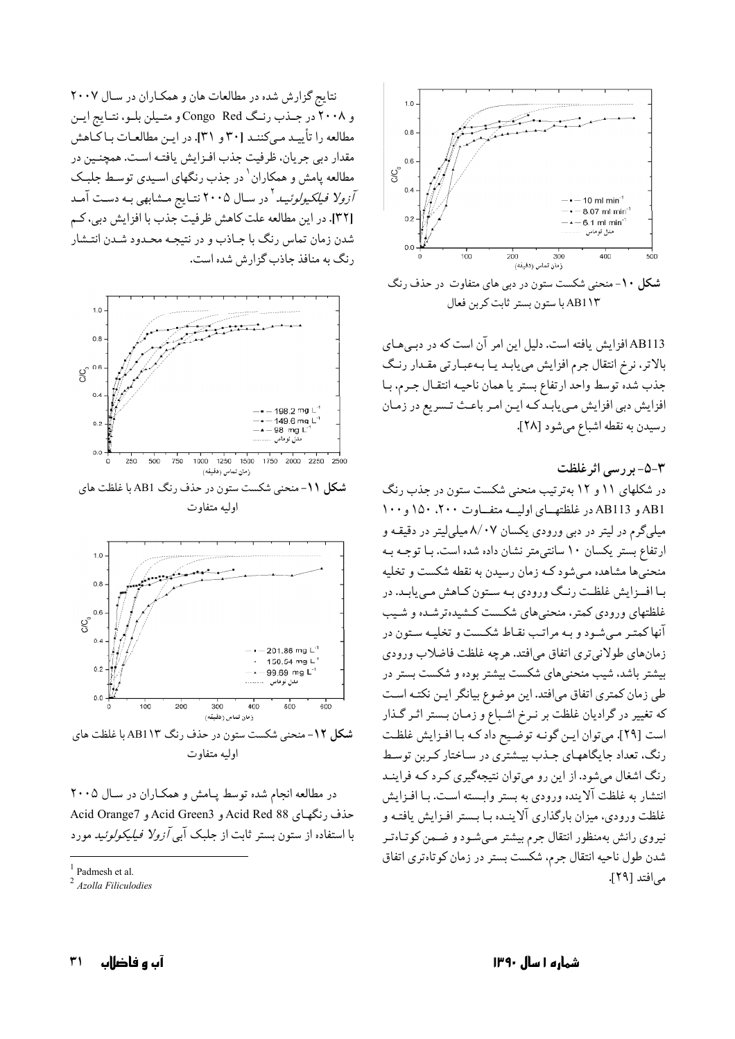

شکل ۱۰- منحنی شکست ستون در دبی های متفاوت در حذف رنگ AB1 \۳ با ستون بستر ثابت كربن فعال

AB113 افزایش یافته است. دلیل این امر آن است که در دبے هـای بالاتر، نرخ انتقال جرم افزایش می یابـد یـا بـهعبـارتی مقـدار رنـگ جذب شده توسط واحد ارتفاع بستر يا همان ناحيـه انتقـال جـرم، بـا افزایش دبی افزایش می یابد کـه ایـن امـر باعـث تـسریع در زمـان رسيدن به نقطه اشباع مي شود [٢٨].

٣-٥-بررسي اثرغلظت

در شکلهای ۱۱ و ۱۲ بهترتیب منحنی شکست ستون در جذب رنگ AB113 و AB113 در غلظتهای اولیـه متفـاوت ۲۰۰، ۱۵۰ و ۱۰۰ میلیگرم در لیتر در دبی ورودی یکسان ۸/۰۷ میلیلیتر در دقیقـه و ارتفاع بستر یکسان ۱۰ سانتی متر نشان داده شده است. بـا توجـه بـه منحنیها مشاهده مـیشود کـه زمان رسیدن به نقطه شکست و تخلیه بیا افسزایش غلظت رنبگ ورودی بیه ستون کیاهش مبی پابید. در غلظتهای ورودی کمتر، منحنبیهای شکست کشیده ترشـده و شـیب آنها کمتـر مـي شـود و بـه مراتـب نقـاط شکـست و تخليـه سـتون در زمانهاي طولاني ترى اتفاق مىافتد. هرچه غلظت فاضلاب ورودى بیشتر باشد، شیب منحنی های شکست بیشتر بوده و شکست بستر در طي زمان كمترى اتفاق مىافتد. اين موضوع بيانگر ايـن نكتـه اسـت که تغییر در گرادیان غلظت بر نـرخ اشـباع و زمـان بـستر اثـر گـذار است [۲۹]. میتوان ایـن گونـه توضـیح داد کـه بـا افـزایش غلظـت رنگ، تعداد جایگاههای جـذب بیـشتری در سـاختار کـربن توسط رنگ اشغال می شود. از این رو می توان نتیجهگیری که د کـه فراینـد انتشار به غلظت آلاینده ورودی به بستر وابـسته اسـت. بـا افـزايش غلظت ورودي، ميزان بارگذاري آلاينــده بــا بــستر افــزايش يافتــه و نیروی رانش بهمنظور انتقال جرم بیشتر میشود و ضمن کوتـاهتر شدن طول ناحیه انتقال جرم، شکست بستر در زمان کوتاهتری اتفاق می افتد [۲۹].

نتایج گزارش شده در مطالعات هان و همکاران در سال ٢٠٠٧ و ۲۰۰۸ در جـذب رنـگ Congo Red و متـيلن بلـو، نتـايج ايـن مطالعه را تأييـد مـىكننـد [٣٠ و ٣١]. در ايـن مطالعـات بـاكـاهش مقدار دبي جريان، ظرفيت جذب افـزايش يافتـه اسـت. همچنـين در مطالعه پامش و همکاران ٰ در جذب رنگهای اسـیدی توسـط جلبـک *آزولا فیلکیولوئیـد*' در سـال ۲۰۰۵ نتـایج مـشابهی بـه دسـت آمـد [٣٢]. در اين مطالعه علت كاهش ظرفيت جذب با افزايش دبي، كم شدن زمان تماس رنگ با جـاذب و در نتيجـه محـدود شـدن انتـشار رنگ به منافذ حاذب گزارش شده است.



**شکل ۱۱**- منحنی شکست ستون در حذف رنگ AB1 با غلظت های اوليه متفاوت



**شکل ۱۲**-منحنی شکست ستون در حذف رنگ AB1۱۳ با غلظت های اوليه متفاوت

در مطالعه انجام شده توسط يامش و همكـاران در سـال ٢٠٠٥ حذف رنگهای Acid Red 88 و Acid Orange7 و Acid Orange7 با استفاده از ستون بستر ثابت از جلبک آبی *آزولا فیلیکولوئید* مورد

Padmesh et al.

 $2$  Azolla Filiculodies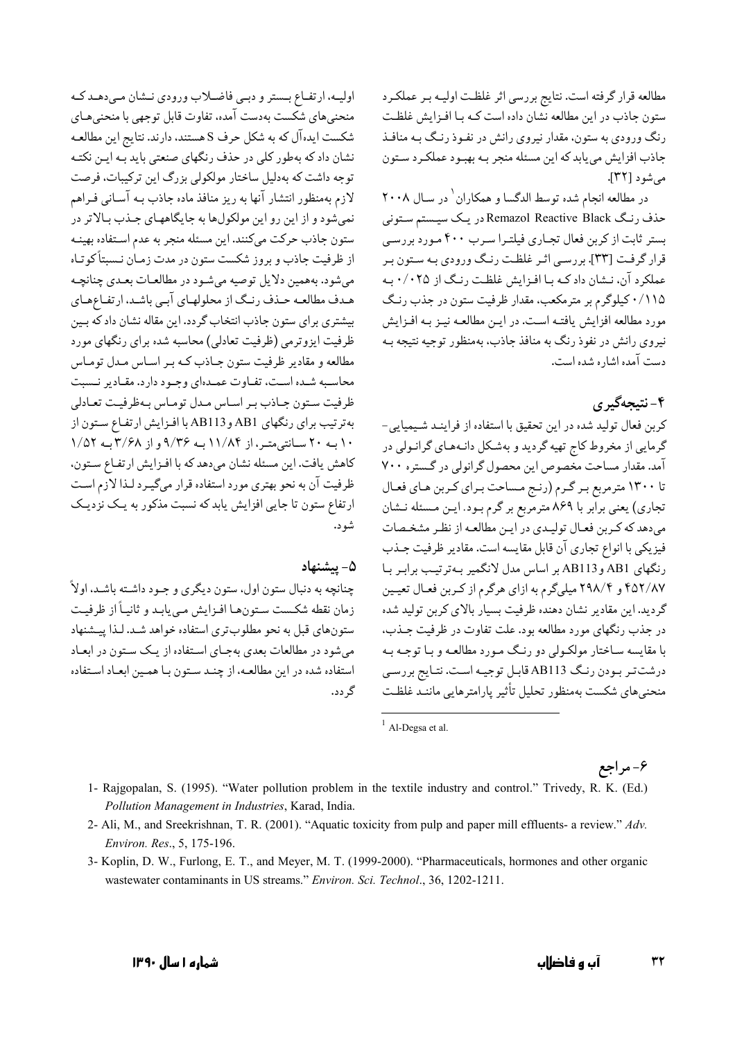مطالعه قرار گرفته است. نتایج بررسی اثر غلظت اولیـه بـر عملکـرد ستون جاذب در این مطالعه نشان داده است کـه بـا افـزایش غلظـت رنگ ورودی به ستون، مقدار نیروی رانش در نفـوذ رنـگ بـه منافـذ جاذب افزایش می پابد که این مسئله منجر بـه بهبـود عملکـرد سـتون می شو د [۳۲].

در مطالعه انجام شده توسط الدگسا و همکاران رد سال ۲۰۰۸ حذف رنگ Remazol Reactive Black در یک سیستم ستونی بستر ثابت از کربن فعال تجـاری فیلتـرا سـرب ۴۰۰ مـورد بررسـی قرار گرفت [۳۳]. بررسبي اثير غلظت رنگ ورودي بـه سـتون بير عملکرد آن، نـشان داد کـه بـا افـزايش غلظـت رنـگ از ۰/۰۲۵ بـه ۰/۱۱۵ کیلوگرم بر مترمکعب، مقدار ظرفیت ستون در جذب رنگ مورد مطالعه افزایش یافتـه اسـت. در ایـن مطالعـه نیـز بـه افـزایش نیروی رانش در نفوذ رنگ به منافذ جاذب، بهمنظور توجیه نتیجه بـه دست آمده اشار ه شده است.

# ۴-نتىجەگىرى

كربن فعال توليد شده در اين تحقيق با استفاده از فراينـد شـيميايي-گرمایی از مخروط کاج تهیه گردید و بهشکل دانـههـای گرانـولی در آمد. مقدار مساحت مخصوص این محصول گرانولی در گستره ۷۰۰ تا ۱۳۰۰ مترمربع بـر گـرم (رنـج مـساحت بـراي كـربن هـاي فعـال تجاري) يعني برابر با ۸۶۹ مترمربع بر گرم بـود. ايـن مـسئله نـشان میدهد که کربن فعـال تولیـدي در ايـن مطالعـه از نظـر مشخـصات فيزيكي با انواع تجاري آن قابل مقايسه است. مقادير ظرفيت جـذب رنگهای AB1 وAB113 بر اساس مدل لانگمیر بهترتیب برابر با ۴۵۲/۸۷ و ۲۹۸/۴ میلیگرم به ازای هرگرم از کربن فعـال تعیـین گردید. این مقادیر نشان دهنده ظرفیت بسیار بالای کربن تولید شده در جذب رنگهای مورد مطالعه بود. علت تفاوت در ظرفیت جـذب، با مقايسه سـاختار مولكـولى دو رنـگ مـورد مطالعـه و بـا توجـه بـه درشت تر بـودن رنـگ AB113 قابـل توجيـه اسـت. نتـايج بررسـي منحني هاي شكست بهمنظور تحليل تأثير يارامترهايي ماننـد غلظـت

## ۶- مراجع

1- Rajgopalan, S. (1995). "Water pollution problem in the textile industry and control." Trivedy, R. K. (Ed.) Pollution Management in Industries, Karad, India.

شو د.

گ دد.

۵- ىشنھاد

- 2- Ali, M., and Sreekrishnan, T. R. (2001). "Aquatic toxicity from pulp and paper mill effluents- a review." Adv. Environ. Res., 5, 175-196.
- 3- Koplin, D. W., Furlong, E. T., and Meyer, M. T. (1999-2000). "Pharmaceuticals, hormones and other organic wastewater contaminants in US streams." Environ. Sci. Technol., 36, 1202-1211.

اولیه، ارتفاع بستر و دبمی فاضلاب ورودی نشان میدهد که منحنیهای شکست بهدست آمده، تفاوت قابل توجهی با منحنیهای

شکست ایده آل که به شکل حرف S هستند، دارند. نتایج این مطالعـه

نشان داد که بهطور کلی در حذف رنگهای صنعتی باید بـه ایـن نکتـه توجه داشت که بهدلیل ساختار مولکولی بزرگ این ترکیبات، فرصت

لازم بهمنظور انتشار آنها به ريز منافذ ماده جاذب بـه آسـاني فـراهم نمیشود و از این رو این مولکولها به جایگاههای جـذب بـالاتر در

ستون جاذب حرکت میکنند. این مسئله منجر به عدم استفاده بهینـه

از ظرفیت جاذب و بروز شکست ستون در مدت زمـان نـسبتاً کوتـاه

مي شود. به همين دلايل توصيه مي شـود در مطالعــات بعــدي چنانچــه هـدف مطالعـه حـذف رنـگ از محلولهـاي آبـي باشـد. ارتفـاعِهـاي

بیشتری برای ستون جاذب انتخاب گردد. این مقاله نشان داد که بـین

ظرفیت ایزوترمی (ظرفیت تعادلی) محاسبه شده برای رنگهای مورد

.<br>مطالعه و مقادیر ظرفیت ستون جـاذب کـه بـر اسـاس مـدل تومـاس

محاسبه شـده اسـت، تفـاوت عمـدهاي وجـود دارد. مقـادير نـسبت ظرفيت سـتون جـاذب بـر اسـاس مـدل تومـاس بـهظرفيـت تعـادلي

بهترتيب براي رنگهاي AB1 و AB113 با افـزايش ارتفـاع سـتون از

۱۰ بــه ۲۰ ســانتى متــر، از ۱۱/۸۴ بــه ۹/۳۶ و از ۳/۶۸ بــه ۱/۵۲

كاهش يافت. اين مسئله نشان مىدهد كه با افـزايش ارتفـاع سـتون،

ظرفیت آن به نحو بهتری مورد استفاده قرار میگیـرد لـذا لازم اسـت

ارتفاع ستون تا جایی افزایش یابد که نسبت مذکور به یک نزدیک

چنانچه به دنبال ستون اول، ستون ديگري و جـود داشـته باشـد، اولاً زمان نقطه شكست ستونها افـزايش مـيbيابـد و ثانيـاً از ظرفيـت

ستونهای قبل به نحو مطلوبتری استفاده خواهد شـد. لـذا پیـشنهاد

می شود در مطالعات بعدی بهجای استفاده از یک ستون در ابعاد

استفاده شده در این مطالعـه، از چنـد سـتون بـا همـین ابعـاد اسـتفاده

 $<sup>1</sup>$  Al-Degsa et al.</sup>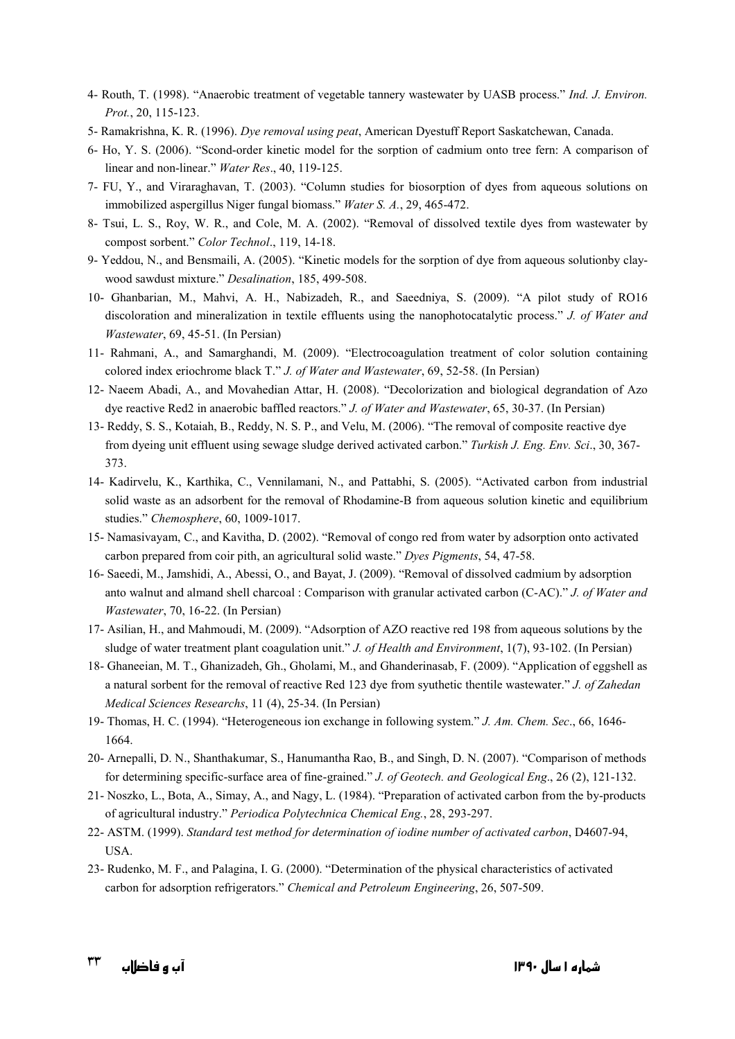- 4- Routh, T. (1998). "Anaerobic treatment of vegetable tannery wastewater by UASB process." *Ind. J. Environ. Prot.*, 20, 115-123.
- 5- Ramakrishna, K. R. (1996). *Dye removal using peat*, American Dyestuff Report Saskatchewan, Canada.
- 6- Ho, Y. S. (2006). "Scond-order kinetic model for the sorption of cadmium onto tree fern: A comparison of linear and non-linear." *Water Res*., 40, 119-125.
- 7- FU, Y., and Viraraghavan, T. (2003). "Column studies for biosorption of dyes from aqueous solutions on immobilized aspergillus Niger fungal biomass." *Water S. A.*, 29, 465-472.
- 8- Tsui, L. S., Roy, W. R., and Cole, M. A. (2002). "Removal of dissolved textile dyes from wastewater by compost sorbent." *Color Technol*., 119, 14-18.
- 9- Yeddou, N., and Bensmaili, A. (2005). "Kinetic models for the sorption of dye from aqueous solutionby claywood sawdust mixture." *Desalination*, 185, 499-508.
- 10- Ghanbarian, M., Mahvi, A. H., Nabizadeh, R., and Saeedniya, S. (2009). "A pilot study of RO16 discoloration and mineralization in textile effluents using the nanophotocatalytic process." *J. of Water and Wastewater*, 69, 45-51. (In Persian)
- 11- Rahmani, A., and Samarghandi, M. (2009). "Electrocoagulation treatment of color solution containing colored index eriochrome black T." *J. of Water and Wastewater*, 69, 52-58. (In Persian)
- 12- Naeem Abadi, A., and Movahedian Attar, H. (2008). "Decolorization and biological degrandation of Azo dye reactive Red2 in anaerobic baffled reactors." *J. of Water and Wastewater*, 65, 30-37. (In Persian)
- 13- Reddy, S. S., Kotaiah, B., Reddy, N. S. P., and Velu, M. (2006). "The removal of composite reactive dye from dyeing unit effluent using sewage sludge derived activated carbon." *Turkish J. Eng. Env. Sci*., 30, 367- 373.
- 14- Kadirvelu, K., Karthika, C., Vennilamani, N., and Pattabhi, S. (2005). "Activated carbon from industrial solid waste as an adsorbent for the removal of Rhodamine-B from aqueous solution kinetic and equilibrium studies." *Chemosphere*, 60, 1009-1017.
- 15- Namasivayam, C., and Kavitha, D. (2002). "Removal of congo red from water by adsorption onto activated carbon prepared from coir pith, an agricultural solid waste." *Dyes Pigments*, 54, 47-58.
- 16- Saeedi, M., Jamshidi, A., Abessi, O., and Bayat, J. (2009). "Removal of dissolved cadmium by adsorption anto walnut and almand shell charcoal : Comparison with granular activated carbon (C-AC)." *J. of Water and Wastewater*, 70, 16-22. (In Persian)
- 17- Asilian, H., and Mahmoudi, M. (2009). "Adsorption of AZO reactive red 198 from aqueous solutions by the sludge of water treatment plant coagulation unit." *J. of Health and Environment*, 1(7), 93-102. (In Persian)
- 18- Ghaneeian, M. T., Ghanizadeh, Gh., Gholami, M., and Ghanderinasab, F. (2009). "Application of eggshell as a natural sorbent for the removal of reactive Red 123 dye from syuthetic thentile wastewater." *J. of Zahedan Medical Sciences Researchs*, 11 (4), 25-34. (In Persian)
- 19- Thomas, H. C. (1994). "Heterogeneous ion exchange in following system." *J. Am. Chem. Sec*., 66, 1646- 1664.
- 20- Arnepalli, D. N., Shanthakumar, S., Hanumantha Rao, B., and Singh, D. N. (2007). "Comparison of methods for determining specific-surface area of fine-grained." *J. of Geotech. and Geological Eng*., 26 (2), 121-132.
- 21- Noszko, L., Bota, A., Simay, A., and Nagy, L. (1984). "Preparation of activated carbon from the by-products of agricultural industry." *Periodica Polytechnica Chemical Eng.*, 28, 293-297.
- 22- ASTM. (1999). *Standard test method for determination of iodine number of activated carbon*, D4607-94, USA.
- 23- Rudenko, M. F., and Palagina, I. G. (2000). "Determination of the physical characteristics of activated carbon for adsorption refrigerators." *Chemical and Petroleum Engineering*, 26, 507-509.